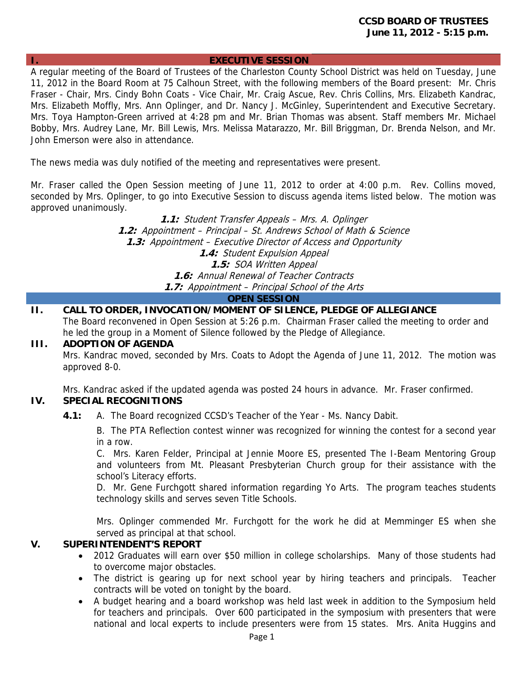#### **I. EXECUTIVE SESSION**

A regular meeting of the Board of Trustees of the Charleston County School District was held on Tuesday, June 11, 2012 in the Board Room at 75 Calhoun Street, with the following members of the Board present: Mr. Chris Fraser - Chair, Mrs. Cindy Bohn Coats - Vice Chair, Mr. Craig Ascue, Rev. Chris Collins, Mrs. Elizabeth Kandrac, Mrs. Elizabeth Moffly, Mrs. Ann Oplinger, and Dr. Nancy J. McGinley, Superintendent and Executive Secretary. Mrs. Toya Hampton-Green arrived at 4:28 pm and Mr. Brian Thomas was absent. Staff members Mr. Michael Bobby, Mrs. Audrey Lane, Mr. Bill Lewis, Mrs. Melissa Matarazzo, Mr. Bill Briggman, Dr. Brenda Nelson, and Mr. John Emerson were also in attendance.

The news media was duly notified of the meeting and representatives were present.

Mr. Fraser called the Open Session meeting of June 11, 2012 to order at 4:00 p.m. Rev. Collins moved, seconded by Mrs. Oplinger, to go into Executive Session to discuss agenda items listed below. The motion was approved unanimously.

> **1.1:** Student Transfer Appeals – Mrs. A. Oplinger **1.2:** Appointment – Principal – St. Andrews School of Math & Science **1.3:** Appointment – Executive Director of Access and Opportunity **1.4:** Student Expulsion Appeal **1.5:** SOA Written Appeal **1.6:** Annual Renewal of Teacher Contracts **1.7:** Appointment – Principal School of the Arts

#### **OPEN SESSION**

**II. CALL TO ORDER, INVOCATION/MOMENT OF SILENCE, PLEDGE OF ALLEGIANCE**  The Board reconvened in Open Session at 5:26 p.m. Chairman Fraser called the meeting to order and he led the group in a Moment of Silence followed by the Pledge of Allegiance.

#### **III. ADOPTION OF AGENDA**

Mrs. Kandrac moved, seconded by Mrs. Coats to Adopt the Agenda of June 11, 2012. The motion was approved 8-0.

Mrs. Kandrac asked if the updated agenda was posted 24 hours in advance. Mr. Fraser confirmed.

# **IV. SPECIAL RECOGNITIONS**

 **4.1:** A. The Board recognized CCSD's Teacher of the Year - Ms. Nancy Dabit.

 B. The PTA Reflection contest winner was recognized for winning the contest for a second year in a row.

 C. Mrs. Karen Felder, Principal at Jennie Moore ES, presented The I-Beam Mentoring Group and volunteers from Mt. Pleasant Presbyterian Church group for their assistance with the school's Literacy efforts.

 D. Mr. Gene Furchgott shared information regarding Yo Arts. The program teaches students technology skills and serves seven Title Schools.

Mrs. Oplinger commended Mr. Furchgott for the work he did at Memminger ES when she served as principal at that school.

## **V. SUPERINTENDENT'S REPORT**

- 2012 Graduates will earn over \$50 million in college scholarships. Many of those students had to overcome major obstacles.
- The district is gearing up for next school year by hiring teachers and principals. Teacher contracts will be voted on tonight by the board.
- A budget hearing and a board workshop was held last week in addition to the Symposium held for teachers and principals. Over 600 participated in the symposium with presenters that were national and local experts to include presenters were from 15 states. Mrs. Anita Huggins and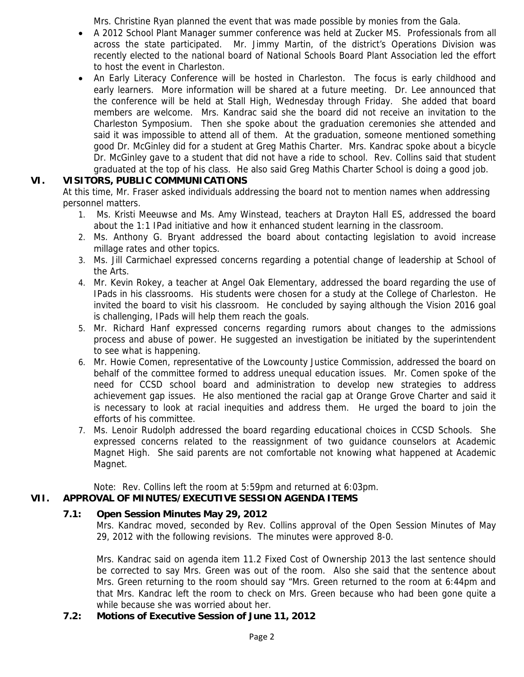Mrs. Christine Ryan planned the event that was made possible by monies from the Gala.

- A 2012 School Plant Manager summer conference was held at Zucker MS. Professionals from all across the state participated. Mr. Jimmy Martin, of the district's Operations Division was recently elected to the national board of National Schools Board Plant Association led the effort to host the event in Charleston.
- An Early Literacy Conference will be hosted in Charleston. The focus is early childhood and early learners. More information will be shared at a future meeting. Dr. Lee announced that the conference will be held at Stall High, Wednesday through Friday. She added that board members are welcome. Mrs. Kandrac said she the board did not receive an invitation to the Charleston Symposium. Then she spoke about the graduation ceremonies she attended and said it was impossible to attend all of them. At the graduation, someone mentioned something good Dr. McGinley did for a student at Greg Mathis Charter. Mrs. Kandrac spoke about a bicycle Dr. McGinley gave to a student that did not have a ride to school. Rev. Collins said that student graduated at the top of his class. He also said Greg Mathis Charter School is doing a good job.

# **VI. VISITORS, PUBLIC COMMUNICATIONS**

At this time, Mr. Fraser asked individuals addressing the board not to mention names when addressing personnel matters.

- 1. Ms. Kristi Meeuwse and Ms. Amy Winstead, teachers at Drayton Hall ES, addressed the board about the 1:1 IPad initiative and how it enhanced student learning in the classroom.
- 2. Ms. Anthony G. Bryant addressed the board about contacting legislation to avoid increase millage rates and other topics.
- 3. Ms. Jill Carmichael expressed concerns regarding a potential change of leadership at School of the Arts.
- 4. Mr. Kevin Rokey, a teacher at Angel Oak Elementary, addressed the board regarding the use of IPads in his classrooms. His students were chosen for a study at the College of Charleston. He invited the board to visit his classroom. He concluded by saying although the Vision 2016 goal is challenging, IPads will help them reach the goals.
- 5. Mr. Richard Hanf expressed concerns regarding rumors about changes to the admissions process and abuse of power. He suggested an investigation be initiated by the superintendent to see what is happening.
- 6. Mr. Howie Comen, representative of the Lowcounty Justice Commission, addressed the board on behalf of the committee formed to address unequal education issues. Mr. Comen spoke of the need for CCSD school board and administration to develop new strategies to address achievement gap issues. He also mentioned the racial gap at Orange Grove Charter and said it is necessary to look at racial inequities and address them. He urged the board to join the efforts of his committee.
- 7. Ms. Lenoir Rudolph addressed the board regarding educational choices in CCSD Schools. She expressed concerns related to the reassignment of two guidance counselors at Academic Magnet High. She said parents are not comfortable not knowing what happened at Academic Magnet.

Note: Rev. Collins left the room at 5:59pm and returned at 6:03pm.

# **VII. APPROVAL OF MINUTES/EXECUTIVE SESSION AGENDA ITEMS**

# **7.1: Open Session Minutes May 29, 2012**

Mrs. Kandrac moved, seconded by Rev. Collins approval of the Open Session Minutes of May 29, 2012 with the following revisions. The minutes were approved 8-0.

Mrs. Kandrac said on agenda item 11.2 Fixed Cost of Ownership 2013 the last sentence should be corrected to say Mrs. Green was out of the room. Also she said that the sentence about Mrs. Green returning to the room should say "Mrs. Green returned to the room at 6:44pm and that Mrs. Kandrac left the room to check on Mrs. Green because who had been gone quite a while because she was worried about her.

## **7.2: Motions of Executive Session of June 11, 2012**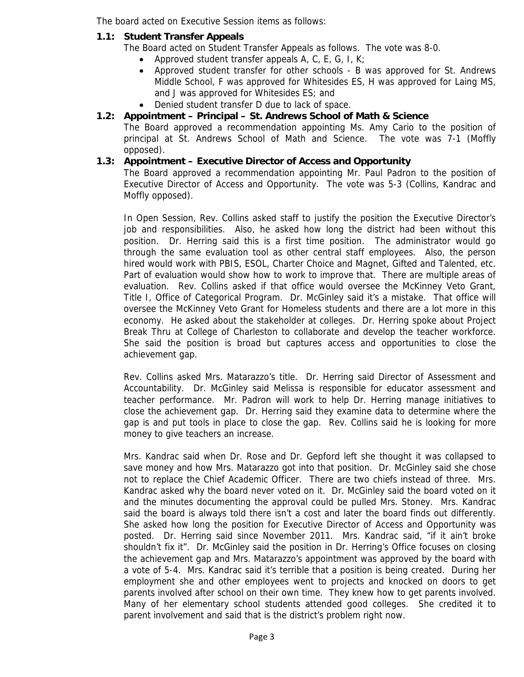The board acted on Executive Session items as follows:

# **1.1: Student Transfer Appeals**

The Board acted on Student Transfer Appeals as follows. The vote was 8-0.

- Approved student transfer appeals A, C, E, G, I, K;
- Approved student transfer for other schools B was approved for St. Andrews Middle School, F was approved for Whitesides ES, H was approved for Laing MS, and J was approved for Whitesides ES; and
- Denied student transfer D due to lack of space.

# **1.2: Appointment – Principal – St. Andrews School of Math & Science**

The Board approved a recommendation appointing Ms. Amy Cario to the position of principal at St. Andrews School of Math and Science. The vote was 7-1 (Moffly opposed).

# **1.3: Appointment – Executive Director of Access and Opportunity**

The Board approved a recommendation appointing Mr. Paul Padron to the position of Executive Director of Access and Opportunity. The vote was 5-3 (Collins, Kandrac and Moffly opposed).

In Open Session, Rev. Collins asked staff to justify the position the Executive Director's job and responsibilities. Also, he asked how long the district had been without this position. Dr. Herring said this is a first time position. The administrator would go through the same evaluation tool as other central staff employees. Also, the person hired would work with PBIS, ESOL, Charter Choice and Magnet, Gifted and Talented, etc. Part of evaluation would show how to work to improve that. There are multiple areas of evaluation. Rev. Collins asked if that office would oversee the McKinney Veto Grant, Title I, Office of Categorical Program. Dr. McGinley said it's a mistake. That office will oversee the McKinney Veto Grant for Homeless students and there are a lot more in this economy. He asked about the stakeholder at colleges. Dr. Herring spoke about Project Break Thru at College of Charleston to collaborate and develop the teacher workforce. She said the position is broad but captures access and opportunities to close the achievement gap.

Rev. Collins asked Mrs. Matarazzo's title. Dr. Herring said Director of Assessment and Accountability. Dr. McGinley said Melissa is responsible for educator assessment and teacher performance. Mr. Padron will work to help Dr. Herring manage initiatives to close the achievement gap. Dr. Herring said they examine data to determine where the gap is and put tools in place to close the gap. Rev. Collins said he is looking for more money to give teachers an increase.

Mrs. Kandrac said when Dr. Rose and Dr. Gepford left she thought it was collapsed to save money and how Mrs. Matarazzo got into that position. Dr. McGinley said she chose not to replace the Chief Academic Officer. There are two chiefs instead of three. Mrs. Kandrac asked why the board never voted on it. Dr. McGinley said the board voted on it and the minutes documenting the approval could be pulled Mrs. Stoney. Mrs. Kandrac said the board is always told there isn't a cost and later the board finds out differently. She asked how long the position for Executive Director of Access and Opportunity was posted. Dr. Herring said since November 2011. Mrs. Kandrac said, "if it ain't broke shouldn't fix it". Dr. McGinley said the position in Dr. Herring's Office focuses on closing the achievement gap and Mrs. Matarazzo's appointment was approved by the board with a vote of 5-4. Mrs. Kandrac said it's terrible that a position is being created. During her employment she and other employees went to projects and knocked on doors to get parents involved after school on their own time. They knew how to get parents involved. Many of her elementary school students attended good colleges. She credited it to parent involvement and said that is the district's problem right now.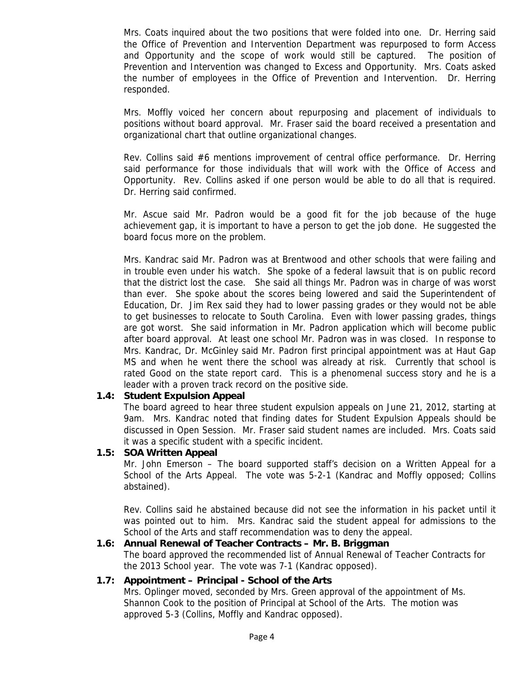Mrs. Coats inquired about the two positions that were folded into one. Dr. Herring said the Office of Prevention and Intervention Department was repurposed to form Access and Opportunity and the scope of work would still be captured. The position of Prevention and Intervention was changed to Excess and Opportunity. Mrs. Coats asked the number of employees in the Office of Prevention and Intervention. Dr. Herring responded.

Mrs. Moffly voiced her concern about repurposing and placement of individuals to positions without board approval. Mr. Fraser said the board received a presentation and organizational chart that outline organizational changes.

Rev. Collins said #6 mentions improvement of central office performance. Dr. Herring said performance for those individuals that will work with the Office of Access and Opportunity. Rev. Collins asked if one person would be able to do all that is required. Dr. Herring said confirmed.

Mr. Ascue said Mr. Padron would be a good fit for the job because of the huge achievement gap, it is important to have a person to get the job done. He suggested the board focus more on the problem.

Mrs. Kandrac said Mr. Padron was at Brentwood and other schools that were failing and in trouble even under his watch. She spoke of a federal lawsuit that is on public record that the district lost the case. She said all things Mr. Padron was in charge of was worst than ever. She spoke about the scores being lowered and said the Superintendent of Education, Dr. Jim Rex said they had to lower passing grades or they would not be able to get businesses to relocate to South Carolina. Even with lower passing grades, things are got worst. She said information in Mr. Padron application which will become public after board approval. At least one school Mr. Padron was in was closed. In response to Mrs. Kandrac, Dr. McGinley said Mr. Padron first principal appointment was at Haut Gap MS and when he went there the school was already at risk. Currently that school is rated Good on the state report card. This is a phenomenal success story and he is a leader with a proven track record on the positive side.

## **1.4: Student Expulsion Appeal**

The board agreed to hear three student expulsion appeals on June 21, 2012, starting at 9am. Mrs. Kandrac noted that finding dates for Student Expulsion Appeals should be discussed in Open Session. Mr. Fraser said student names are included. Mrs. Coats said it was a specific student with a specific incident.

# **1.5: SOA Written Appeal**

Mr. John Emerson – The board supported staff's decision on a Written Appeal for a School of the Arts Appeal. The vote was 5-2-1 (Kandrac and Moffly opposed; Collins abstained).

Rev. Collins said he abstained because did not see the information in his packet until it was pointed out to him. Mrs. Kandrac said the student appeal for admissions to the School of the Arts and staff recommendation was to deny the appeal.

# **1.6: Annual Renewal of Teacher Contracts – Mr. B. Briggman**

The board approved the recommended list of Annual Renewal of Teacher Contracts for the 2013 School year. The vote was 7-1 (Kandrac opposed).

# **1.7: Appointment – Principal - School of the Arts**

Mrs. Oplinger moved, seconded by Mrs. Green approval of the appointment of Ms. Shannon Cook to the position of Principal at School of the Arts. The motion was approved 5-3 (Collins, Moffly and Kandrac opposed).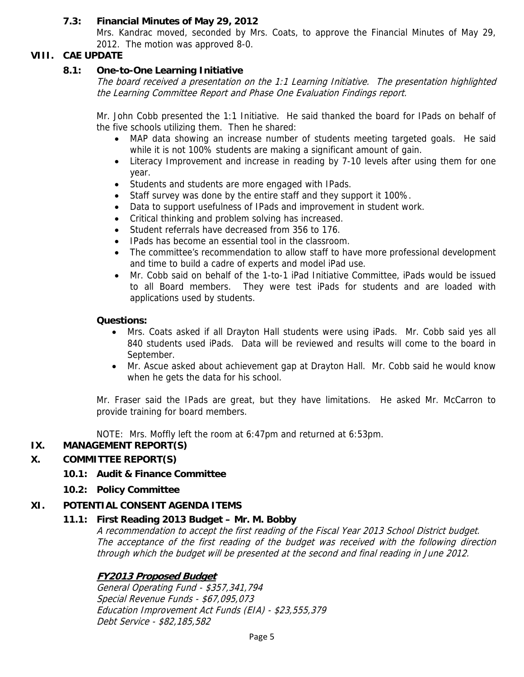# **7.3: Financial Minutes of May 29, 2012**

Mrs. Kandrac moved, seconded by Mrs. Coats, to approve the Financial Minutes of May 29, 2012. The motion was approved 8-0.

# **VIII. CAE UPDATE**

## **8.1: One-to-One Learning Initiative**

The board received a presentation on the 1:1 Learning Initiative. The presentation highlighted the Learning Committee Report and Phase One Evaluation Findings report.

Mr. John Cobb presented the 1:1 Initiative. He said thanked the board for IPads on behalf of the five schools utilizing them. Then he shared:

- MAP data showing an increase number of students meeting targeted goals. He said while it is not 100% students are making a significant amount of gain.
- Literacy Improvement and increase in reading by 7-10 levels after using them for one year.
- Students and students are more engaged with IPads.
- Staff survey was done by the entire staff and they support it 100%.
- Data to support usefulness of IPads and improvement in student work.
- Critical thinking and problem solving has increased.
- Student referrals have decreased from 356 to 176.
- IPads has become an essential tool in the classroom.
- The committee's recommendation to allow staff to have more professional development and time to build a cadre of experts and model iPad use.
- Mr. Cobb said on behalf of the 1-to-1 iPad Initiative Committee, iPads would be issued to all Board members. They were test iPads for students and are loaded with applications used by students.

#### **Questions:**

- Mrs. Coats asked if all Drayton Hall students were using iPads. Mr. Cobb said yes all 840 students used iPads. Data will be reviewed and results will come to the board in September.
- Mr. Ascue asked about achievement gap at Drayton Hall. Mr. Cobb said he would know when he gets the data for his school.

Mr. Fraser said the IPads are great, but they have limitations. He asked Mr. McCarron to provide training for board members.

NOTE: Mrs. Moffly left the room at 6:47pm and returned at 6:53pm.

# **IX. MANAGEMENT REPORT(S)**

## **X. COMMITTEE REPORT(S)**

## **10.1: Audit & Finance Committee**

**10.2: Policy Committee** 

## **XI. POTENTIAL CONSENT AGENDA ITEMS**

## **11.1: First Reading 2013 Budget – Mr. M. Bobby**

A recommendation to accept the first reading of the Fiscal Year 2013 School District budget. The acceptance of the first reading of the budget was received with the following direction through which the budget will be presented at the second and final reading in June 2012.

## **FY2013 Proposed Budget**

General Operating Fund - \$357,341,794 Special Revenue Funds - \$67,095,073 Education Improvement Act Funds (EIA) - \$23,555,379 Debt Service - \$82,185,582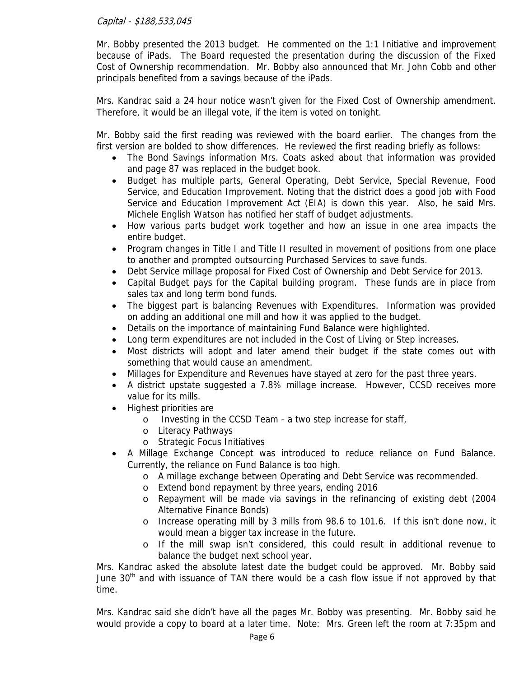# Capital - \$188,533,045

Mr. Bobby presented the 2013 budget. He commented on the 1:1 Initiative and improvement because of iPads. The Board requested the presentation during the discussion of the Fixed Cost of Ownership recommendation. Mr. Bobby also announced that Mr. John Cobb and other principals benefited from a savings because of the iPads.

Mrs. Kandrac said a 24 hour notice wasn't given for the Fixed Cost of Ownership amendment. Therefore, it would be an illegal vote, if the item is voted on tonight.

Mr. Bobby said the first reading was reviewed with the board earlier. The changes from the first version are bolded to show differences. He reviewed the first reading briefly as follows:

- The Bond Savings information Mrs. Coats asked about that information was provided and page 87 was replaced in the budget book.
- Budget has multiple parts, General Operating, Debt Service, Special Revenue, Food Service, and Education Improvement. Noting that the district does a good job with Food Service and Education Improvement Act (EIA) is down this year. Also, he said Mrs. Michele English Watson has notified her staff of budget adjustments.
- How various parts budget work together and how an issue in one area impacts the entire budget.
- Program changes in Title I and Title II resulted in movement of positions from one place to another and prompted outsourcing Purchased Services to save funds.
- Debt Service millage proposal for Fixed Cost of Ownership and Debt Service for 2013.
- Capital Budget pays for the Capital building program. These funds are in place from sales tax and long term bond funds.
- The biggest part is balancing Revenues with Expenditures. Information was provided on adding an additional one mill and how it was applied to the budget.
- Details on the importance of maintaining Fund Balance were highlighted.
- Long term expenditures are not included in the Cost of Living or Step increases.
- Most districts will adopt and later amend their budget if the state comes out with something that would cause an amendment.
- Millages for Expenditure and Revenues have stayed at zero for the past three years.
- A district upstate suggested a 7.8% millage increase. However, CCSD receives more value for its mills.
- Highest priorities are
	- o Investing in the CCSD Team a two step increase for staff,
	- o Literacy Pathways
	- o Strategic Focus Initiatives
- A Millage Exchange Concept was introduced to reduce reliance on Fund Balance. Currently, the reliance on Fund Balance is too high.
	- o A millage exchange between Operating and Debt Service was recommended.
	- o Extend bond repayment by three years, ending 2016
	- o Repayment will be made via savings in the refinancing of existing debt (2004 Alternative Finance Bonds)
	- o Increase operating mill by 3 mills from 98.6 to 101.6. If this isn't done now, it would mean a bigger tax increase in the future.
	- o If the mill swap isn't considered, this could result in additional revenue to balance the budget next school year.

Mrs. Kandrac asked the absolute latest date the budget could be approved. Mr. Bobby said June 30<sup>th</sup> and with issuance of TAN there would be a cash flow issue if not approved by that time.

Mrs. Kandrac said she didn't have all the pages Mr. Bobby was presenting. Mr. Bobby said he would provide a copy to board at a later time. Note: Mrs. Green left the room at 7:35pm and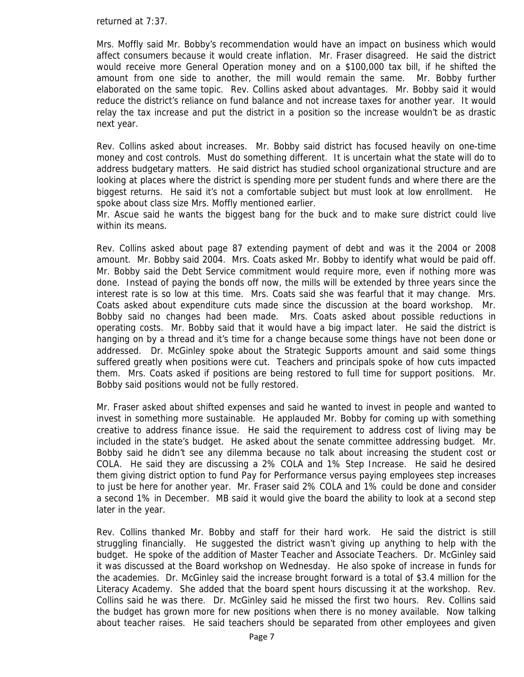returned at 7:37.

Mrs. Moffly said Mr. Bobby's recommendation would have an impact on business which would affect consumers because it would create inflation. Mr. Fraser disagreed. He said the district would receive more General Operation money and on a \$100,000 tax bill, if he shifted the amount from one side to another, the mill would remain the same. Mr. Bobby further elaborated on the same topic. Rev. Collins asked about advantages. Mr. Bobby said it would reduce the district's reliance on fund balance and not increase taxes for another year. It would relay the tax increase and put the district in a position so the increase wouldn't be as drastic next year.

Rev. Collins asked about increases. Mr. Bobby said district has focused heavily on one-time money and cost controls. Must do something different. It is uncertain what the state will do to address budgetary matters. He said district has studied school organizational structure and are looking at places where the district is spending more per student funds and where there are the biggest returns. He said it's not a comfortable subject but must look at low enrollment. He spoke about class size Mrs. Moffly mentioned earlier.

Mr. Ascue said he wants the biggest bang for the buck and to make sure district could live within its means.

Rev. Collins asked about page 87 extending payment of debt and was it the 2004 or 2008 amount. Mr. Bobby said 2004. Mrs. Coats asked Mr. Bobby to identify what would be paid off. Mr. Bobby said the Debt Service commitment would require more, even if nothing more was done. Instead of paying the bonds off now, the mills will be extended by three years since the interest rate is so low at this time. Mrs. Coats said she was fearful that it may change. Mrs. Coats asked about expenditure cuts made since the discussion at the board workshop. Mr. Bobby said no changes had been made. Mrs. Coats asked about possible reductions in operating costs. Mr. Bobby said that it would have a big impact later. He said the district is hanging on by a thread and it's time for a change because some things have not been done or addressed. Dr. McGinley spoke about the Strategic Supports amount and said some things suffered greatly when positions were cut. Teachers and principals spoke of how cuts impacted them. Mrs. Coats asked if positions are being restored to full time for support positions. Mr. Bobby said positions would not be fully restored.

Mr. Fraser asked about shifted expenses and said he wanted to invest in people and wanted to invest in something more sustainable. He applauded Mr. Bobby for coming up with something creative to address finance issue. He said the requirement to address cost of living may be included in the state's budget. He asked about the senate committee addressing budget. Mr. Bobby said he didn't see any dilemma because no talk about increasing the student cost or COLA. He said they are discussing a 2% COLA and 1% Step Increase. He said he desired them giving district option to fund Pay for Performance versus paying employees step increases to just be here for another year. Mr. Fraser said 2% COLA and 1% could be done and consider a second 1% in December. MB said it would give the board the ability to look at a second step later in the year.

Rev. Collins thanked Mr. Bobby and staff for their hard work. He said the district is still struggling financially. He suggested the district wasn't giving up anything to help with the budget. He spoke of the addition of Master Teacher and Associate Teachers. Dr. McGinley said it was discussed at the Board workshop on Wednesday. He also spoke of increase in funds for the academies. Dr. McGinley said the increase brought forward is a total of \$3.4 million for the Literacy Academy. She added that the board spent hours discussing it at the workshop. Rev. Collins said he was there. Dr. McGinley said he missed the first two hours. Rev. Collins said the budget has grown more for new positions when there is no money available. Now talking about teacher raises. He said teachers should be separated from other employees and given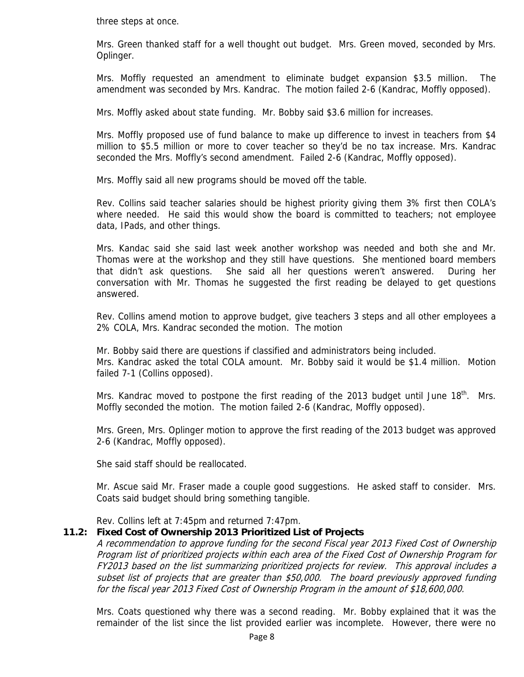three steps at once.

Mrs. Green thanked staff for a well thought out budget. Mrs. Green moved, seconded by Mrs. Oplinger.

Mrs. Moffly requested an amendment to eliminate budget expansion \$3.5 million. The amendment was seconded by Mrs. Kandrac. The motion failed 2-6 (Kandrac, Moffly opposed).

Mrs. Moffly asked about state funding. Mr. Bobby said \$3.6 million for increases.

Mrs. Moffly proposed use of fund balance to make up difference to invest in teachers from \$4 million to \$5.5 million or more to cover teacher so they'd be no tax increase. Mrs. Kandrac seconded the Mrs. Moffly's second amendment. Failed 2-6 (Kandrac, Moffly opposed).

Mrs. Moffly said all new programs should be moved off the table.

Rev. Collins said teacher salaries should be highest priority giving them 3% first then COLA's where needed. He said this would show the board is committed to teachers; not employee data, IPads, and other things.

Mrs. Kandac said she said last week another workshop was needed and both she and Mr. Thomas were at the workshop and they still have questions. She mentioned board members that didn't ask questions. She said all her questions weren't answered. During her conversation with Mr. Thomas he suggested the first reading be delayed to get questions answered.

Rev. Collins amend motion to approve budget, give teachers 3 steps and all other employees a 2% COLA, Mrs. Kandrac seconded the motion. The motion

Mr. Bobby said there are questions if classified and administrators being included. Mrs. Kandrac asked the total COLA amount. Mr. Bobby said it would be \$1.4 million. Motion failed 7-1 (Collins opposed).

Mrs. Kandrac moved to postpone the first reading of the 2013 budget until June 18<sup>th</sup>. Mrs. Moffly seconded the motion. The motion failed 2-6 (Kandrac, Moffly opposed).

Mrs. Green, Mrs. Oplinger motion to approve the first reading of the 2013 budget was approved 2-6 (Kandrac, Moffly opposed).

She said staff should be reallocated.

Mr. Ascue said Mr. Fraser made a couple good suggestions. He asked staff to consider. Mrs. Coats said budget should bring something tangible.

Rev. Collins left at 7:45pm and returned 7:47pm.

## **11.2: Fixed Cost of Ownership 2013 Prioritized List of Projects**

A recommendation to approve funding for the second Fiscal year 2013 Fixed Cost of Ownership Program list of prioritized projects within each area of the Fixed Cost of Ownership Program for FY2013 based on the list summarizing prioritized projects for review. This approval includes a subset list of projects that are greater than \$50,000. The board previously approved funding for the fiscal year 2013 Fixed Cost of Ownership Program in the amount of \$18,600,000.

Mrs. Coats questioned why there was a second reading. Mr. Bobby explained that it was the remainder of the list since the list provided earlier was incomplete. However, there were no